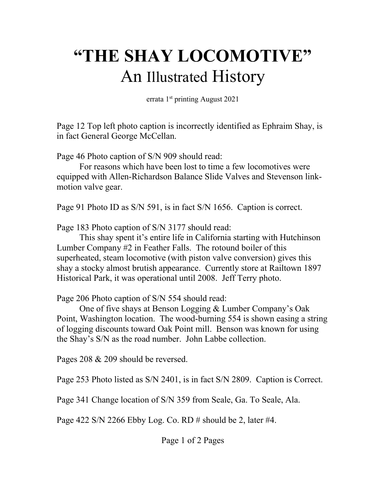## **"THE SHAY LOCOMOTIVE"** An Illustrated History

errata 1st printing August 2021

Page 12 Top left photo caption is incorrectly identified as Ephraim Shay, is in fact General George McCellan.

Page 46 Photo caption of S/N 909 should read:

For reasons which have been lost to time a few locomotives were equipped with Allen-Richardson Balance Slide Valves and Stevenson linkmotion valve gear.

Page 91 Photo ID as S/N 591, is in fact S/N 1656. Caption is correct.

Page 183 Photo caption of S/N 3177 should read:

This shay spent it's entire life in California starting with Hutchinson Lumber Company #2 in Feather Falls. The rotound boiler of this superheated, steam locomotive (with piston valve conversion) gives this shay a stocky almost brutish appearance. Currently store at Railtown 1897 Historical Park, it was operational until 2008. Jeff Terry photo.

Page 206 Photo caption of S/N 554 should read:

One of five shays at Benson Logging & Lumber Company's Oak Point, Washington location. The wood-burning 554 is shown easing a string of logging discounts toward Oak Point mill. Benson was known for using the Shay's S/N as the road number. John Labbe collection.

Pages 208 & 209 should be reversed.

Page 253 Photo listed as S/N 2401, is in fact S/N 2809. Caption is Correct.

Page 341 Change location of S/N 359 from Seale, Ga. To Seale, Ala.

Page 422 S/N 2266 Ebby Log. Co. RD  $\#$  should be 2, later  $\#4$ .

Page 1 of 2 Pages